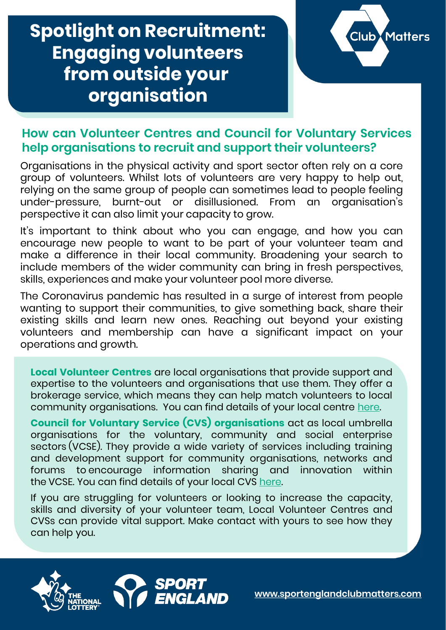## **Spotlight on Recruitment: Engaging volunteers from outside your organisation**



## **How can Volunteer Centres and Council for Voluntary Services help organisations to recruit and support their volunteers?**

Organisations in the physical activity and sport sector often rely on a core group of volunteers. Whilst lots of volunteers are very happy to help out, relying on the same group of people can sometimes lead to people feeling under-pressure, burnt-out or disillusioned. From an organisation's perspective it can also limit your capacity to grow.

It's important to think about who you can engage, and how you can encourage new people to want to be part of your volunteer team and make a difference in their local community. Broadening your search to include members of the wider community can bring in fresh perspectives, skills, experiences and make your volunteer pool more diverse.

The Coronavirus pandemic has resulted in a surge of interest from people wanting to support their communities, to give something back, share their existing skills and learn new ones. Reaching out beyond your existing volunteers and membership can have a significant impact on your operations and growth.

**Local Volunteer Centres** are local organisations that provide support and expertise to the volunteers and organisations that use them. They offer a brokerage service, which means they can help match volunteers to local community organisations. You can find details of your local centre [here.](about:blank)

**Council for Voluntary Service (CVS) organisations** act as local umbrella organisations for the voluntary, community and social enterprise sectors (VCSE). They provide a wide variety of services including training and development support for community organisations, networks and forums to encourage information sharing and innovation within the VCSE. You can find details of your local CVS [here.](about:blank)

If you are struggling for volunteers or looking to increase the capacity, skills and diversity of your volunteer team, Local Volunteer Centres and CVSs can provide vital support. Make contact with yours to see how they can help you.